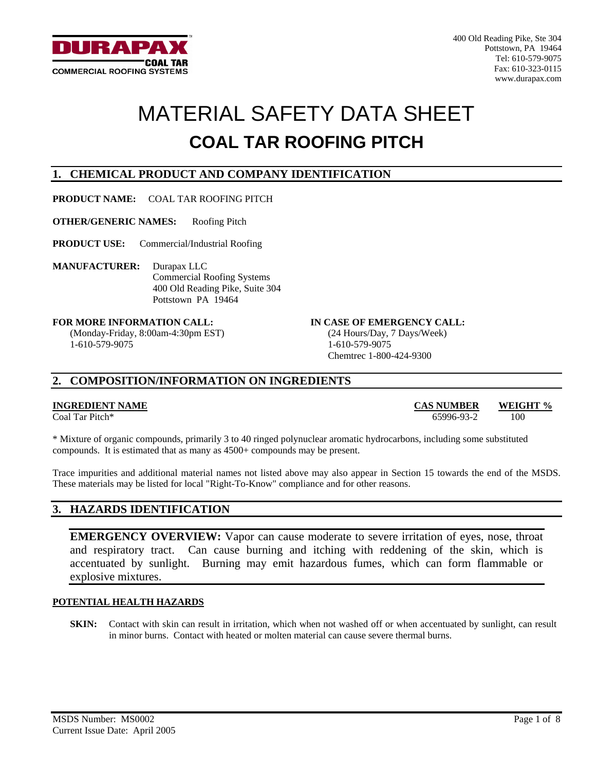

# MATERIAL SAFETY DATA SHEET **COAL TAR ROOFING PITCH**

### **1. CHEMICAL PRODUCT AND COMPANY IDENTIFICATION**

**PRODUCT NAME:** COAL TAR ROOFING PITCH

**OTHER/GENERIC NAMES:** Roofing Pitch

**PRODUCT USE:** Commercial/Industrial Roofing

**MANUFACTURER:** Durapax LLC Commercial Roofing Systems 400 Old Reading Pike, Suite 304 Pottstown PA 19464

(Monday-Friday, 8:00am-4:30pm EST) 1-610-579-9075

#### FOR MORE INFORMATION CALL: **IN CASE OF EMERGENCY CALL:**

(24 Hours/Day, 7 Days/Week) 1-610-579-9075 Chemtrec 1-800-424-9300

### **2. COMPOSITION/INFORMATION ON INGREDIENTS**

#### **INGREDIENT NAME CAS NUMBER WEIGHT %**

Coal Tar Pitch\* 65996-93-2 100

\* Mixture of organic compounds, primarily 3 to 40 ringed polynuclear aromatic hydrocarbons, including some substituted compounds. It is estimated that as many as 4500+ compounds may be present.

Trace impurities and additional material names not listed above may also appear in Section 15 towards the end of the MSDS. These materials may be listed for local "Right-To-Know" compliance and for other reasons.

#### **3. HAZARDS IDENTIFICATION**

**EMERGENCY OVERVIEW:** Vapor can cause moderate to severe irritation of eyes, nose, throat and respiratory tract. Can cause burning and itching with reddening of the skin, which is accentuated by sunlight. Burning may emit hazardous fumes, which can form flammable or explosive mixtures.

#### **POTENTIAL HEALTH HAZARDS**

**SKIN:** Contact with skin can result in irritation, which when not washed off or when accentuated by sunlight, can result in minor burns. Contact with heated or molten material can cause severe thermal burns.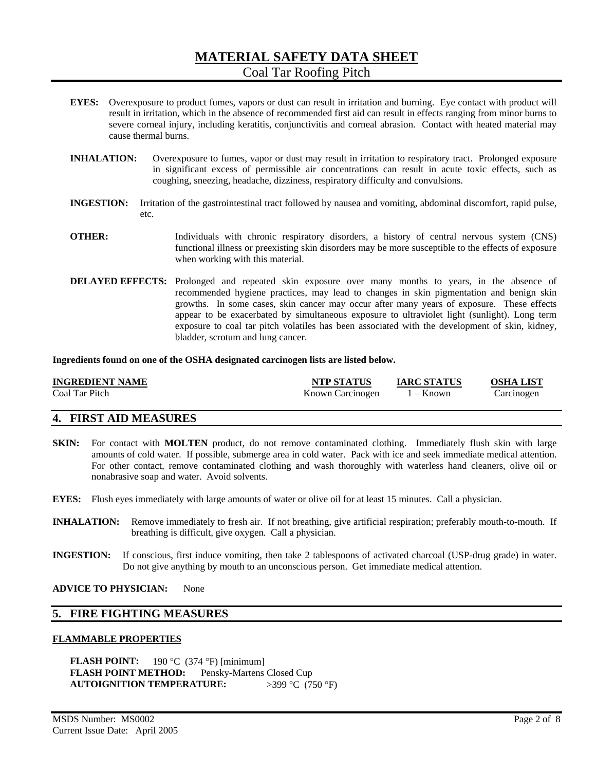- **EYES:** Overexposure to product fumes, vapors or dust can result in irritation and burning. Eye contact with product will result in irritation, which in the absence of recommended first aid can result in effects ranging from minor burns to severe corneal injury, including keratitis, conjunctivitis and corneal abrasion. Contact with heated material may cause thermal burns.
- **INHALATION:** Overexposure to fumes, vapor or dust may result in irritation to respiratory tract. Prolonged exposure in significant excess of permissible air concentrations can result in acute toxic effects, such as coughing, sneezing, headache, dizziness, respiratory difficulty and convulsions.
- **INGESTION:** Irritation of the gastrointestinal tract followed by nausea and vomiting, abdominal discomfort, rapid pulse, etc.
- **OTHER:** Individuals with chronic respiratory disorders, a history of central nervous system (CNS) functional illness or preexisting skin disorders may be more susceptible to the effects of exposure when working with this material.
- **DELAYED EFFECTS:** Prolonged and repeated skin exposure over many months to years, in the absence of recommended hygiene practices, may lead to changes in skin pigmentation and benign skin growths. In some cases, skin cancer may occur after many years of exposure. These effects appear to be exacerbated by simultaneous exposure to ultraviolet light (sunlight). Long term exposure to coal tar pitch volatiles has been associated with the development of skin, kidney, bladder, scrotum and lung cancer.

**Ingredients found on one of the OSHA designated carcinogen lists are listed below.** 

| INGREDIENT NAME | <b>NTP STATUS</b> | <b>IARC STATUS</b> | <b>OSHA LIST</b> |
|-----------------|-------------------|--------------------|------------------|
| Coal Tar Pitch  | Known Carcinogen  | 1 – Known          | Carcinogen       |

### **4. FIRST AID MEASURES**

- **SKIN:** For contact with **MOLTEN** product, do not remove contaminated clothing. Immediately flush skin with large amounts of cold water. If possible, submerge area in cold water. Pack with ice and seek immediate medical attention. For other contact, remove contaminated clothing and wash thoroughly with waterless hand cleaners, olive oil or nonabrasive soap and water. Avoid solvents.
- **EYES:** Flush eyes immediately with large amounts of water or olive oil for at least 15 minutes. Call a physician.
- **INHALATION:** Remove immediately to fresh air. If not breathing, give artificial respiration; preferably mouth-to-mouth. If breathing is difficult, give oxygen. Call a physician.
- **INGESTION:** If conscious, first induce vomiting, then take 2 tablespoons of activated charcoal (USP-drug grade) in water. Do not give anything by mouth to an unconscious person. Get immediate medical attention.

**ADVICE TO PHYSICIAN:** None

#### **5. FIRE FIGHTING MEASURES**

#### **FLAMMABLE PROPERTIES**

**FLASH POINT:** 190 °C (374 °F) [minimum] **FLASH POINT METHOD:** Pensky-Martens Closed Cup **AUTOIGNITION TEMPERATURE:** >399 °C (750 °F)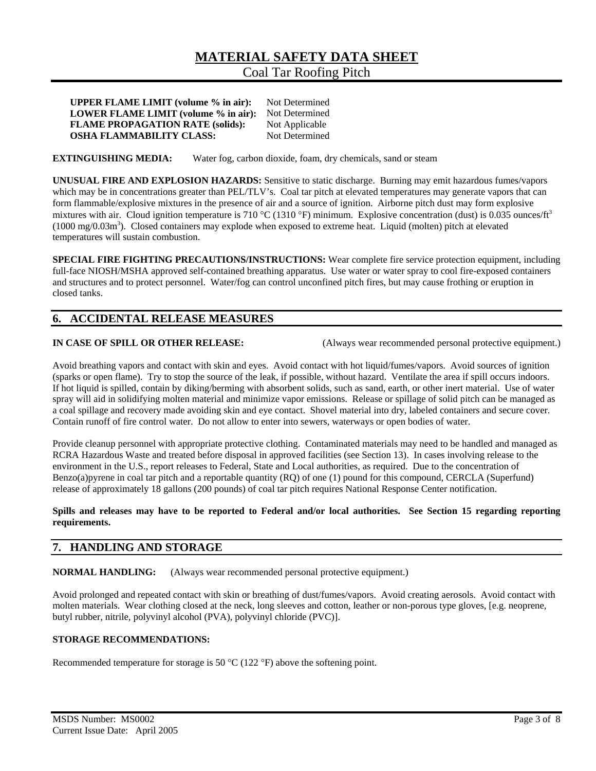**UPPER FLAME LIMIT (volume % in air):** Not Determined **LOWER FLAME LIMIT (volume % in air):** Not Determined **FLAME PROPAGATION RATE (solids):** Not Applicable **OSHA FLAMMABILITY CLASS:** Not Determined

#### **EXTINGUISHING MEDIA:** Water fog, carbon dioxide, foam, dry chemicals, sand or steam

**UNUSUAL FIRE AND EXPLOSION HAZARDS:** Sensitive to static discharge. Burning may emit hazardous fumes/vapors which may be in concentrations greater than PEL/TLV's. Coal tar pitch at elevated temperatures may generate vapors that can form flammable/explosive mixtures in the presence of air and a source of ignition. Airborne pitch dust may form explosive mixtures with air. Cloud ignition temperature is 710 °C (1310 °F) minimum. Explosive concentration (dust) is 0.035 ounces/ft<sup>3</sup>  $(1000 \text{ mg}/0.03 \text{m}^3)$ . Closed containers may explode when exposed to extreme heat. Liquid (molten) pitch at elevated temperatures will sustain combustion.

**SPECIAL FIRE FIGHTING PRECAUTIONS/INSTRUCTIONS:** Wear complete fire service protection equipment, including full-face NIOSH/MSHA approved self-contained breathing apparatus. Use water or water spray to cool fire-exposed containers and structures and to protect personnel. Water/fog can control unconfined pitch fires, but may cause frothing or eruption in closed tanks.

#### **6. ACCIDENTAL RELEASE MEASURES**

**IN CASE OF SPILL OR OTHER RELEASE:** (Always wear recommended personal protective equipment.)

Avoid breathing vapors and contact with skin and eyes. Avoid contact with hot liquid/fumes/vapors. Avoid sources of ignition (sparks or open flame). Try to stop the source of the leak, if possible, without hazard. Ventilate the area if spill occurs indoors. If hot liquid is spilled, contain by diking/berming with absorbent solids, such as sand, earth, or other inert material. Use of water spray will aid in solidifying molten material and minimize vapor emissions. Release or spillage of solid pitch can be managed as a coal spillage and recovery made avoiding skin and eye contact. Shovel material into dry, labeled containers and secure cover. Contain runoff of fire control water. Do not allow to enter into sewers, waterways or open bodies of water.

Provide cleanup personnel with appropriate protective clothing. Contaminated materials may need to be handled and managed as RCRA Hazardous Waste and treated before disposal in approved facilities (see Section 13). In cases involving release to the environment in the U.S., report releases to Federal, State and Local authorities, as required. Due to the concentration of Benzo(a)pyrene in coal tar pitch and a reportable quantity (RQ) of one (1) pound for this compound, CERCLA (Superfund) release of approximately 18 gallons (200 pounds) of coal tar pitch requires National Response Center notification.

#### **Spills and releases may have to be reported to Federal and/or local authorities. See Section 15 regarding reporting requirements.**

#### **7. HANDLING AND STORAGE**

**NORMAL HANDLING:** (Always wear recommended personal protective equipment.)

Avoid prolonged and repeated contact with skin or breathing of dust/fumes/vapors. Avoid creating aerosols. Avoid contact with molten materials. Wear clothing closed at the neck, long sleeves and cotton, leather or non-porous type gloves, [e.g. neoprene, butyl rubber, nitrile, polyvinyl alcohol (PVA), polyvinyl chloride (PVC)].

#### **STORAGE RECOMMENDATIONS:**

Recommended temperature for storage is 50 °C (122 °F) above the softening point.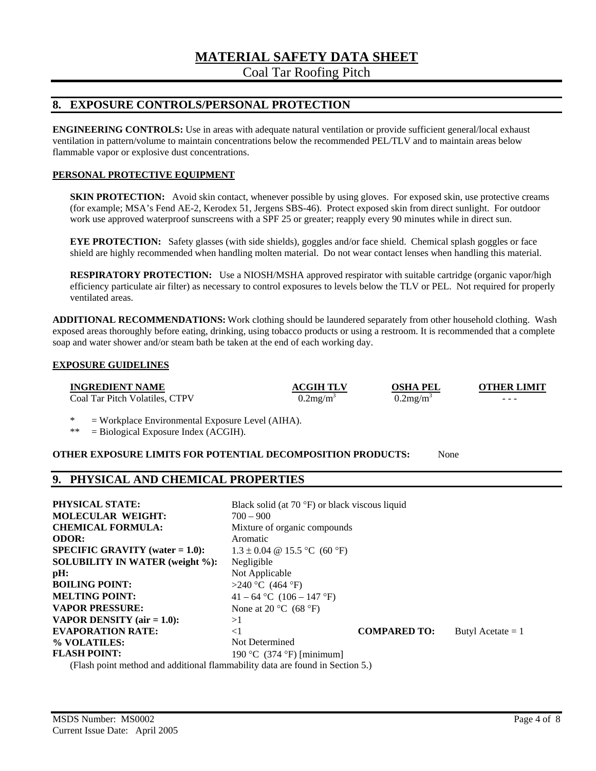# **MATERIAL SAFETY DATA SHEET**

Coal Tar Roofing Pitch

#### **8. EXPOSURE CONTROLS/PERSONAL PROTECTION**

**ENGINEERING CONTROLS:** Use in areas with adequate natural ventilation or provide sufficient general/local exhaust ventilation in pattern/volume to maintain concentrations below the recommended PEL/TLV and to maintain areas below flammable vapor or explosive dust concentrations.

#### **PERSONAL PROTECTIVE EQUIPMENT**

**SKIN PROTECTION:** Avoid skin contact, whenever possible by using gloves. For exposed skin, use protective creams (for example; MSA's Fend AE-2, Kerodex 51, Jergens SBS-46). Protect exposed skin from direct sunlight. For outdoor work use approved waterproof sunscreens with a SPF 25 or greater; reapply every 90 minutes while in direct sun.

**EYE PROTECTION:** Safety glasses (with side shields), goggles and/or face shield. Chemical splash goggles or face shield are highly recommended when handling molten material. Do not wear contact lenses when handling this material.

**RESPIRATORY PROTECTION:** Use a NIOSH/MSHA approved respirator with suitable cartridge (organic vapor/high efficiency particulate air filter) as necessary to control exposures to levels below the TLV or PEL. Not required for properly ventilated areas.

**ADDITIONAL RECOMMENDATIONS:** Work clothing should be laundered separately from other household clothing. Wash exposed areas thoroughly before eating, drinking, using tobacco products or using a restroom. It is recommended that a complete soap and water shower and/or steam bath be taken at the end of each working day.

#### **EXPOSURE GUIDELINES**

**INGREDIENT NAME ACGIH TLV OSHA PEL OTHER LIMIT** 

Coal Tar Pitch Volatiles, CTPV  $0.2 \text{m}g/\text{m}^3$ 

 $0.2$ mg/m<sup>3</sup>

 $-$  -  $-$  -  $-$  -  $-$  -  $-$  -  $-$ 

\* = Workplace Environmental Exposure Level (AIHA).

\*\* = Biological Exposure Index (ACGIH).

#### **OTHER EXPOSURE LIMITS FOR POTENTIAL DECOMPOSITION PRODUCTS:** None

#### **9. PHYSICAL AND CHEMICAL PROPERTIES**

| <b>PHYSICAL STATE:</b><br><b>MOLECULAR WEIGHT:</b><br><b>CHEMICAL FORMULA:</b><br><b>ODOR:</b> | Black solid (at $70^{\circ}$ F) or black viscous liquid<br>$700 - 900$<br>Mixture of organic compounds<br>Aromatic |                     |                     |
|------------------------------------------------------------------------------------------------|--------------------------------------------------------------------------------------------------------------------|---------------------|---------------------|
| $SPECIFIC GRAVITY (water = 1.0):$                                                              | $1.3 \pm 0.04$ @ 15.5 °C (60 °F)                                                                                   |                     |                     |
| <b>SOLUBILITY IN WATER (weight %):</b>                                                         | Negligible                                                                                                         |                     |                     |
| pH:                                                                                            | Not Applicable                                                                                                     |                     |                     |
| <b>BOILING POINT:</b>                                                                          | >240 °C (464 °F)                                                                                                   |                     |                     |
| <b>MELTING POINT:</b>                                                                          | 41 – 64 °C (106 – 147 °F)                                                                                          |                     |                     |
| <b>VAPOR PRESSURE:</b>                                                                         | None at 20 $\rm{^{\circ}C}$ (68 $\rm{^{\circ}F}$ )                                                                 |                     |                     |
| <b>VAPOR DENSITY</b> (air $= 1.0$ ):                                                           | >1                                                                                                                 |                     |                     |
| <b>EVAPORATION RATE:</b>                                                                       | $\leq$ 1                                                                                                           | <b>COMPARED TO:</b> | Butyl Acetate $= 1$ |
| % VOLATILES:                                                                                   | Not Determined                                                                                                     |                     |                     |
| <b>FLASH POINT:</b>                                                                            | 190 °C $(374 \text{ °F})$ [minimum]                                                                                |                     |                     |
| (Flash point method and additional flammability data are found in Section 5.)                  |                                                                                                                    |                     |                     |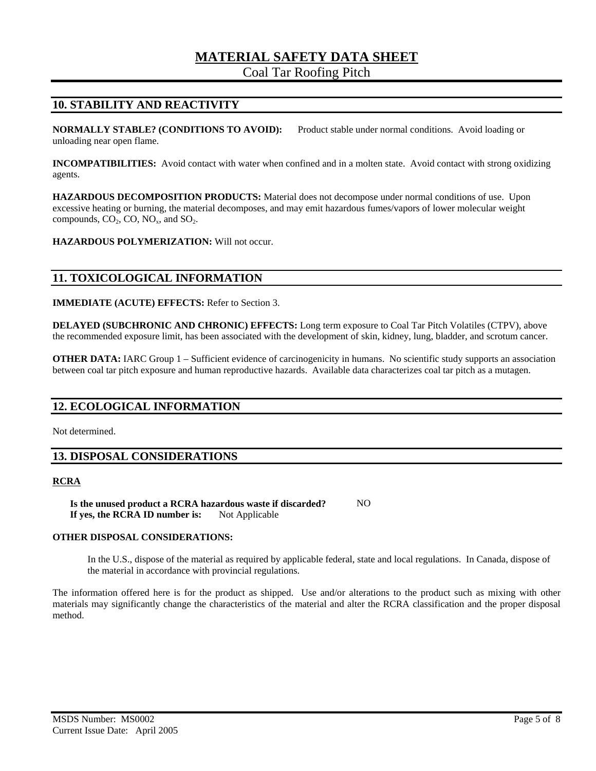# **MATERIAL SAFETY DATA SHEET**

Coal Tar Roofing Pitch

### **10. STABILITY AND REACTIVITY**

**NORMALLY STABLE? (CONDITIONS TO AVOID):** Product stable under normal conditions. Avoid loading or unloading near open flame.

**INCOMPATIBILITIES:** Avoid contact with water when confined and in a molten state. Avoid contact with strong oxidizing agents.

**HAZARDOUS DECOMPOSITION PRODUCTS:** Material does not decompose under normal conditions of use. Upon excessive heating or burning, the material decomposes, and may emit hazardous fumes/vapors of lower molecular weight compounds,  $CO<sub>2</sub>$ ,  $CO<sub>2</sub>$ ,  $NO<sub>x</sub>$ , and  $SO<sub>2</sub>$ .

**HAZARDOUS POLYMERIZATION:** Will not occur.

#### **11. TOXICOLOGICAL INFORMATION**

**IMMEDIATE (ACUTE) EFFECTS:** Refer to Section 3.

**DELAYED (SUBCHRONIC AND CHRONIC) EFFECTS:** Long term exposure to Coal Tar Pitch Volatiles (CTPV), above the recommended exposure limit, has been associated with the development of skin, kidney, lung, bladder, and scrotum cancer.

**OTHER DATA:** IARC Group 1 – Sufficient evidence of carcinogenicity in humans. No scientific study supports an association between coal tar pitch exposure and human reproductive hazards. Available data characterizes coal tar pitch as a mutagen.

#### **12. ECOLOGICAL INFORMATION**

Not determined.

#### **13. DISPOSAL CONSIDERATIONS**

#### **RCRA**

Is the unused product a RCRA hazardous waste if discarded? NO **If yes, the RCRA ID number is:** Not Applicable

#### **OTHER DISPOSAL CONSIDERATIONS:**

In the U.S., dispose of the material as required by applicable federal, state and local regulations. In Canada, dispose of the material in accordance with provincial regulations.

The information offered here is for the product as shipped. Use and/or alterations to the product such as mixing with other materials may significantly change the characteristics of the material and alter the RCRA classification and the proper disposal method.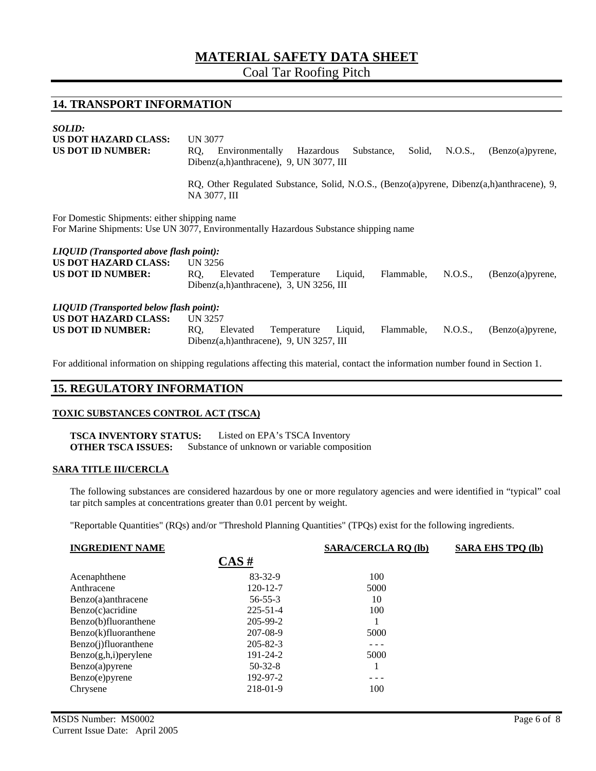# **MATERIAL SAFETY DATA SHEET**

Coal Tar Roofing Pitch

#### **14. TRANSPORT INFORMATION**

| <i>SOLID:</i><br><b>US DOT HAZARD CLASS:</b><br><b>US DOT ID NUMBER:</b>                                                             | <b>UN 3077</b><br>RQ.<br>Environmentally<br>Substance,<br>Solid,<br>N.O.S.,<br>(Benzo(a)pyrene,<br>Hazardous<br>Dibenz $(a,h)$ anthracene), 9, UN 3077, III |  |  |
|--------------------------------------------------------------------------------------------------------------------------------------|-------------------------------------------------------------------------------------------------------------------------------------------------------------|--|--|
|                                                                                                                                      | RQ, Other Regulated Substance, Solid, N.O.S., (Benzo(a)pyrene, Dibenz(a,h)anthracene), 9,<br>NA 3077, III                                                   |  |  |
| For Domestic Shipments: either shipping name<br>For Marine Shipments: Use UN 3077, Environmentally Hazardous Substance shipping name |                                                                                                                                                             |  |  |
| <b>LIQUID</b> (Transported above flash point):<br>US DOT HAZARD CLASS:<br><b>US DOT ID NUMBER:</b>                                   | UN 3256<br>RQ,<br>Liquid,<br>N.O.S.,<br>Temperature<br>Flammable,<br>(Benzo(a)pyrene,<br>Elevated<br>Dibenz $(a,h)$ anthracene), 3, UN 3256, III            |  |  |
| <b>LIQUID</b> (Transported below flash point):<br><b>US DOT HAZARD CLASS:</b><br><b>US DOT ID NUMBER:</b>                            | UN 3257<br>Liquid,<br>N.O.S.,<br>RQ,<br>Elevated<br>Temperature<br>Flammable,<br>(Benzo(a)pyrene,<br>Dibenz $(a,h)$ anthracene), 9, UN 3257, III            |  |  |

For additional information on shipping regulations affecting this material, contact the information number found in Section 1.

### **15. REGULATORY INFORMATION**

#### **TOXIC SUBSTANCES CONTROL ACT (TSCA)**

**TSCA INVENTORY STATUS:** Listed on EPA's TSCA Inventory **OTHER TSCA ISSUES:** Substance of unknown or variable composition

#### **SARA TITLE III/CERCLA**

The following substances are considered hazardous by one or more regulatory agencies and were identified in "typical" coal tar pitch samples at concentrations greater than 0.01 percent by weight.

"Reportable Quantities" (RQs) and/or "Threshold Planning Quantities" (TPQs) exist for the following ingredients.

| <b>INGREDIENT NAME</b>   |                | <b>SARA/CERCLA RQ (lb)</b> | <b>SARA EHS TPO (lb)</b> |
|--------------------------|----------------|----------------------------|--------------------------|
|                          | CAS#           |                            |                          |
| Acenaphthene             | $83 - 32 - 9$  | 100                        |                          |
| Anthracene               | $120 - 12 - 7$ | 5000                       |                          |
| Benzo(a)anthracene       | $56 - 55 - 3$  | 10                         |                          |
| Benzo(c) acridine        | $225 - 51 - 4$ | 100                        |                          |
| Benzo(b)fluoranthene     | 205-99-2       |                            |                          |
| Benzo(k)fluoranthene     | 207-08-9       | 5000                       |                          |
| Benzo(j)fluoranthene     | $205 - 82 - 3$ | - - -                      |                          |
| $Benzo(g,h,i)$ per ylene | 191-24-2       | 5000                       |                          |
| Benzo(a)pyrene           | $50-32-8$      |                            |                          |
| Benzo(e) pyrene          | 192-97-2       | - - -                      |                          |
| Chrysene                 | 218-01-9       | 100                        |                          |
|                          |                |                            |                          |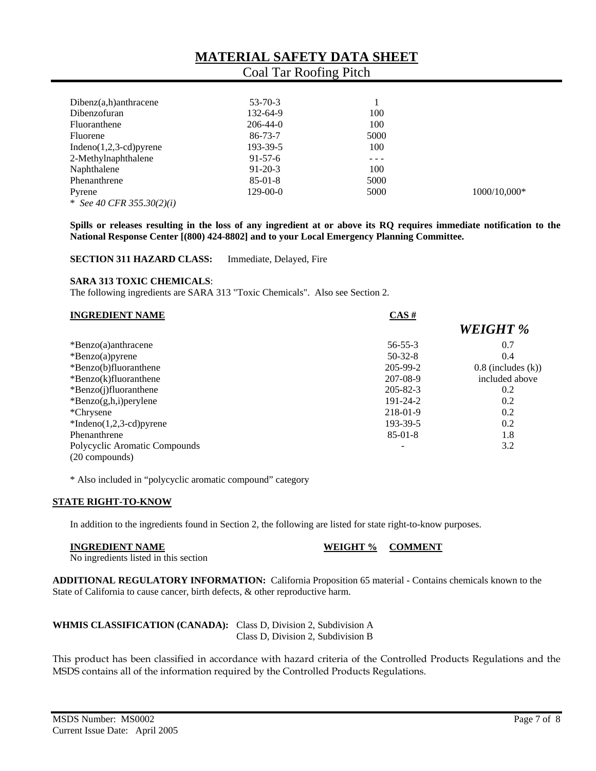| $Dibenz(a,h)$ anthracene    | $53 - 70 - 3$  |       |                |
|-----------------------------|----------------|-------|----------------|
| Dibenzofuran                | 132-64-9       | 100   |                |
| Fluoranthene                | $206 - 44 - 0$ | 100   |                |
| Fluorene                    | $86 - 73 - 7$  | 5000  |                |
| Indeno $(1,2,3$ -cd) pyrene | 193-39-5       | 100   |                |
| 2-Methylnaphthalene         | $91-57-6$      | - - - |                |
| Naphthalene                 | $91 - 20 - 3$  | 100   |                |
| Phenanthrene                | $85-01-8$      | 5000  |                |
| Pyrene                      | $129-00-0$     | 5000  | $1000/10,000*$ |
| * See 40 CFR 355.30(2)(i)   |                |       |                |

**Spills or releases resulting in the loss of any ingredient at or above its RQ requires immediate notification to the National Response Center [(800) 424-8802] and to your Local Emergency Planning Committee.** 

**SECTION 311 HAZARD CLASS:** Immediate, Delayed, Fire

#### **SARA 313 TOXIC CHEMICALS**:

The following ingredients are SARA 313 "Toxic Chemicals". Also see Section 2.

| <b>INGREDIENT NAME</b>        | CAS#           |                         |
|-------------------------------|----------------|-------------------------|
|                               |                | <b>WEIGHT %</b>         |
| $\text{*}$ Benzo(a)anthracene | $56 - 55 - 3$  | 0.7                     |
| $*Benzo(a)pyrene$             | $50-32-8$      | 0.4                     |
| *Benzo(b)fluoranthene         | $205 - 99 - 2$ | $0.8$ (includes $(k)$ ) |
| $*Benzo(k) fluoranthene$      | 207-08-9       | included above          |
| *Benzo(j)fluoranthene         | $205 - 82 - 3$ | 0.2                     |
| $*Benzo(g,h,i)$ per ylene     | 191-24-2       | 0.2                     |
| *Chrysene                     | 218-01-9       | 0.2                     |
| $*Indeno(1,2,3-cd)pyrene$     | 193-39-5       | 0.2                     |
| Phenanthrene                  | $85-01-8$      | 1.8                     |
| Polycyclic Aromatic Compounds | -              | 3.2                     |
| (20 compounds)                |                |                         |

\* Also included in "polycyclic aromatic compound" category

#### **STATE RIGHT-TO-KNOW**

In addition to the ingredients found in Section 2, the following are listed for state right-to-know purposes.

**INGREDIENT NAME WEIGHT % COMMENT** 

No ingredients listed in this section

**ADDITIONAL REGULATORY INFORMATION:** California Proposition 65 material - Contains chemicals known to the State of California to cause cancer, birth defects, & other reproductive harm.

# **WHMIS CLASSIFICATION (CANADA):** Class D, Division 2, Subdivision A

Class D, Division 2, Subdivision B

This product has been classified in accordance with hazard criteria of the Controlled Products Regulations and the MSDS contains all of the information required by the Controlled Products Regulations.